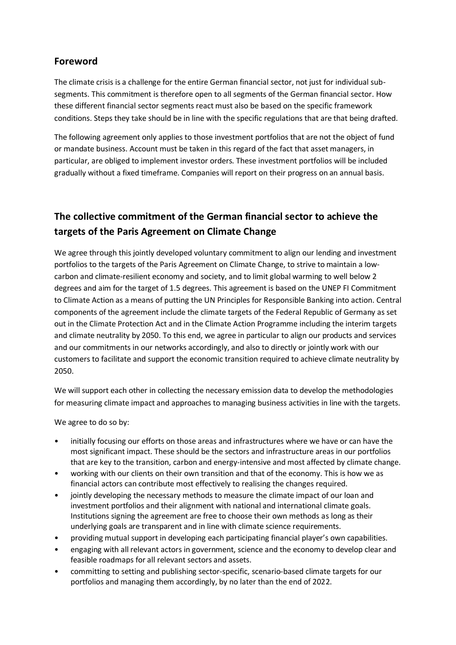## **Foreword**

The climate crisis is a challenge for the entire German financial sector, not just for individual subsegments. This commitment is therefore open to all segments of the German financial sector. How these different financial sector segments react must also be based on the specific framework conditions. Steps they take should be in line with the specific regulations that are that being drafted.

The following agreement only applies to those investment portfolios that are not the object of fund or mandate business. Account must be taken in this regard of the fact that asset managers, in particular, are obliged to implement investor orders. These investment portfolios will be included gradually without a fixed timeframe. Companies will report on their progress on an annual basis.

## **The collective commitment of the German financial sector to achieve the targets of the Paris Agreement on Climate Change**

We agree through this jointly developed voluntary commitment to align our lending and investment portfolios to the targets of the Paris Agreement on Climate Change, to strive to maintain a lowcarbon and climate-resilient economy and society, and to limit global warming to well below 2 degrees and aim for the target of 1.5 degrees. This agreement is based on the UNEP FI Commitment to Climate Action as a means of putting the UN Principles for Responsible Banking into action. Central components of the agreement include the climate targets of the Federal Republic of Germany as set out in the Climate Protection Act and in the Climate Action Programme including the interim targets and climate neutrality by 2050. To this end, we agree in particular to align our products and services and our commitments in our networks accordingly, and also to directly or jointly work with our customers to facilitate and support the economic transition required to achieve climate neutrality by 2050.

We will support each other in collecting the necessary emission data to develop the methodologies for measuring climate impact and approaches to managing business activities in line with the targets.

We agree to do so by:

- initially focusing our efforts on those areas and infrastructures where we have or can have the most significant impact. These should be the sectors and infrastructure areas in our portfolios that are key to the transition, carbon and energy-intensive and most affected by climate change.
- working with our clients on their own transition and that of the economy. This is how we as financial actors can contribute most effectively to realising the changes required.
- jointly developing the necessary methods to measure the climate impact of our loan and investment portfolios and their alignment with national and international climate goals. Institutions signing the agreement are free to choose their own methods as long as their underlying goals are transparent and in line with climate science requirements.
- providing mutual support in developing each participating financial player's own capabilities.
- engaging with all relevant actors in government, science and the economy to develop clear and feasible roadmaps for all relevant sectors and assets.
- committing to setting and publishing sector-specific, scenario-based climate targets for our portfolios and managing them accordingly, by no later than the end of 2022.